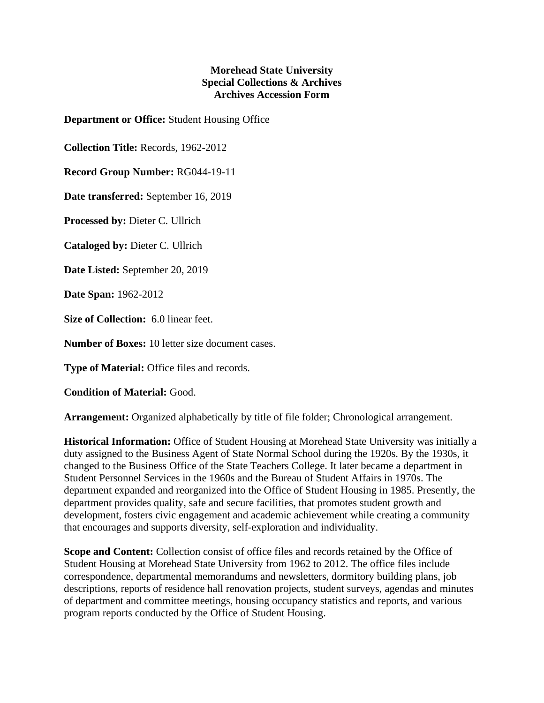## **Morehead State University Special Collections & Archives Archives Accession Form**

**Department or Office:** Student Housing Office

**Collection Title:** Records, 1962-2012

**Record Group Number:** RG044-19-11

**Date transferred:** September 16, 2019

**Processed by:** Dieter C. Ullrich

**Cataloged by:** Dieter C. Ullrich

**Date Listed:** September 20, 2019

**Date Span:** 1962-2012

**Size of Collection:** 6.0 linear feet.

**Number of Boxes:** 10 letter size document cases.

**Type of Material:** Office files and records.

**Condition of Material:** Good.

**Arrangement:** Organized alphabetically by title of file folder; Chronological arrangement.

**Historical Information:** Office of Student Housing at Morehead State University was initially a duty assigned to the Business Agent of State Normal School during the 1920s. By the 1930s, it changed to the Business Office of the State Teachers College. It later became a department in Student Personnel Services in the 1960s and the Bureau of Student Affairs in 1970s. The department expanded and reorganized into the Office of Student Housing in 1985. Presently, the department provides quality, safe and secure facilities, that promotes student growth and development, fosters civic engagement and academic achievement while creating a community that encourages and supports diversity, self-exploration and individuality.

**Scope and Content:** Collection consist of office files and records retained by the Office of Student Housing at Morehead State University from 1962 to 2012. The office files include correspondence, departmental memorandums and newsletters, dormitory building plans, job descriptions, reports of residence hall renovation projects, student surveys, agendas and minutes of department and committee meetings, housing occupancy statistics and reports, and various program reports conducted by the Office of Student Housing.